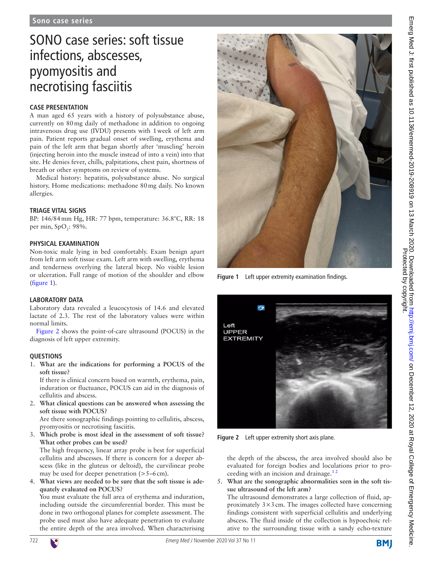# SONO case series: soft tissue infections, abscesses, pyomyositis and necrotising fasciitis

# **Case presentation**

A man aged 65 years with a history of polysubstance abuse, currently on 80mg daily of methadone in addition to ongoing intravenous drug use (IVDU) presents with 1week of left arm pain. Patient reports gradual onset of swelling, erythema and pain of the left arm that began shortly after 'muscling' heroin (injecting heroin into the muscle instead of into a vein) into that site. He denies fever, chills, palpitations, chest pain, shortness of breath or other symptoms on review of systems.

Medical history: hepatitis, polysubstance abuse. No surgical history. Home medications: methadone 80mg daily. No known allergies.

# **Triage vital signs**

BP: 146/84mm Hg, HR: 77 bpm, temperature: 36.8°C, RR: 18 per min, SpO<sub>2</sub>: 98%.

## **Physical examination**

Non-toxic male lying in bed comfortably. Exam benign apart from left arm soft tissue exam. Left arm with swelling, erythema and tenderness overlying the lateral bicep. No visible lesion or ulceration. Full range of motion of the shoulder and elbow ([figure](#page-0-0) 1).

## **Laboratory data**

Laboratory data revealed a leucocytosis of 14.6 and elevated lactate of 2.3. The rest of the laboratory values were within normal limits.

[Figure](#page-0-1) 2 shows the point-of-care ultrasound (POCUS) in the diagnosis of left upper extremity.

## **Questions**

1. **What are the indications for performing a POCUS of the soft tissue?**

If there is clinical concern based on warmth, erythema, pain, induration or fluctuance, POCUS can aid in the diagnosis of cellulitis and abscess.

2. **What clinical questions can be answered when assessing the soft tissue with POCUS?**

Are there sonographic findings pointing to cellulitis, abscess, pyomyositis or necrotising fasciitis.

3. **Which probe is most ideal in the assessment of soft tissue? What other probes can be used?**

The high frequency, linear array probe is best for superficial cellulitis and abscesses. If there is concern for a deeper abscess (like in the gluteus or deltoid), the curvilinear probe may be used for deeper penetration (>5–6cm).

4. **What views are needed to be sure that the soft tissue is adequately evaluated on POCUS?**

You must evaluate the full area of erythema and induration, including outside the circumferential border. This must be done in two orthogonal planes for complete assessment. The probe used must also have adequate penetration to evaluate the entire depth of the area involved. When characterising



**Figure 1** Left upper extremity examination findings.

<span id="page-0-0"></span>

**Figure 2** Left upper extremity short axis plane.

<span id="page-0-1"></span>the depth of the abscess, the area involved should also be evaluated for foreign bodies and loculations prior to proceeding with an incision and drainage.<sup>12</sup>

5. **What are the sonographic abnormalities seen in the soft tissue ultrasound of the left arm?**

The ultrasound demonstrates a large collection of fluid, approximately  $3 \times 3$  cm. The images collected have concerning findings consistent with superficial cellulitis and underlying abscess. The fluid inside of the collection is hypoechoic relative to the surrounding tissue with a sandy echo-texture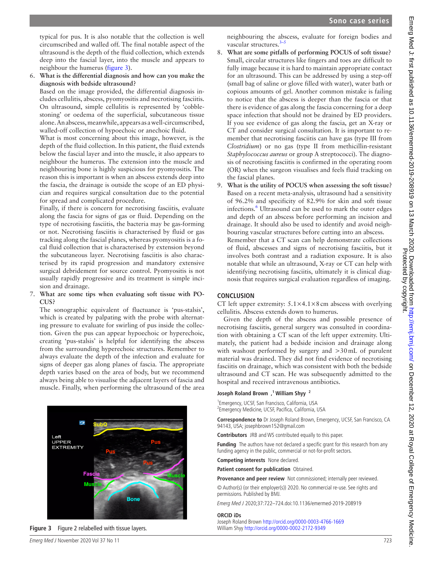typical for pus. It is also notable that the collection is well circumscribed and walled off. The final notable aspect of the ultrasound is the depth of the fluid collection, which extends deep into the fascial layer, into the muscle and appears to neighbour the humerus [\(figure](#page-1-0) 3).

6. **What is the differential diagnosis and how can you make the diagnosis with bedside ultrasound?**

Based on the image provided, the differential diagnosis includes cellulitis, abscess, pyomyositis and necrotising fasciitis. On ultrasound, simple cellulitis is represented by 'cobblestoning' or oedema of the superficial, subcutaneous tissue alone. An abscess, meanwhile, appears as a well-circumscribed, walled-off collection of hypoechoic or anechoic fluid.

What is most concerning about this image, however, is the depth of the fluid collection. In this patient, the fluid extends below the fascial layer and into the muscle, it also appears to neighbour the humerus. The extension into the muscle and neighbouring bone is highly suspicious for pyomyositis. The reason this is important is when an abscess extends deep into the fascia, the drainage is outside the scope of an ED physician and requires surgical consultation due to the potential for spread and complicated procedure.

Finally, if there is concern for necrotising fasciitis, evaluate along the fascia for signs of gas or fluid. Depending on the type of necrotising fasciitis, the bacteria may be gas-forming or not. Necrotising fasciitis is characterised by fluid or gas tracking along the fascial planes, whereas pyomyositis is a focal fluid collection that is characterised by extension beyond the subcutaneous layer. Necrotising fasciitis is also characterised by its rapid progression and mandatory extensive surgical debridement for source control. Pyomyositis is not usually rapidly progressive and its treatment is simple incision and drainage.

#### 7. **What are some tips when evaluating soft tissue with PO-CUS?**

The sonographic equivalent of fluctuance is 'pus-stalsis', which is created by palpating with the probe with alternating pressure to evaluate for swirling of pus inside the collection. Given the pus can appear hypoechoic or hyperechoic, creating 'pus-stalsis' is helpful for identifying the abscess from the surrounding hyperechoic structures. Remember to always evaluate the depth of the infection and evaluate for signs of deeper gas along planes of fascia. The appropriate depth varies based on the area of body, but we recommend always being able to visualise the adjacent layers of fascia and muscle. Finally, when performing the ultrasound of the area



<span id="page-1-0"></span>**Figure 3** Figure 2 relabelled with tissue layers. William Shyy<http://orcid.org/0000-0002-2172-9349>

neighbouring the abscess, evaluate for foreign bodies and vascular structures.<sup>3-5</sup>

- 8. **What are some pitfalls of performing POCUS of soft tissue?** Small, circular structures like fingers and toes are difficult to fully image because it is hard to maintain appropriate contact for an ultrasound. This can be addressed by using a step-off (small bag of saline or glove filled with water), water bath or copious amounts of gel. Another common mistake is failing to notice that the abscess is deeper than the fascia or that there is evidence of gas along the fascia concerning for a deep space infection that should not be drained by ED providers. If you see evidence of gas along the fascia, get an X-ray or CT and consider surgical consultation. It is important to remember that necrotising fasciitis can have gas (type III from *Clostridium*) or no gas (type II from methicillin-resistant *Staphylococcus aureus* or group A streptococci). The diagnosis of necrotising fasciitis is confirmed in the operating room (OR) when the surgeon visualises and feels fluid tracking on the fascial planes.
- 9. **What is the utility of POCUS when assessing the soft tissue?** Based on a recent meta-analysis, ultrasound had a sensitivity of 96.2% and specificity of 82.9% for skin and soft tissue infections.<sup>[6](#page-2-2)</sup> Ultrasound can be used to mark the outer edges and depth of an abscess before performing an incision and drainage. It should also be used to identify and avoid neighbouring vascular structures before cutting into an abscess. Remember that a CT scan can help demonstrate collections of fluid, abscesses and signs of necrotising fasciitis, but it

involves both contrast and a radiation exposure. It is also notable that while an ultrasound, X-ray or CT can help with identifying necrotising fasciitis, ultimately it is clinical diagnosis that requires surgical evaluation regardless of imaging.

# **Conclusion**

CT left upper extremity:  $5.1 \times 4.1 \times 8$  cm abscess with overlying cellulitis. Abscess extends down to humerus.

Given the depth of the abscess and possible presence of necrotising fasciitis, general surgery was consulted in coordination with obtaining a CT scan of the left upper extremity. Ultimately, the patient had a bedside incision and drainage along with washout performed by surgery and >30mL of purulent material was drained. They did not find evidence of necrotising fasciitis on drainage, which was consistent with both the bedside ultrasound and CT scan. He was subsequently admitted to the hospital and received intravenous antibiotics.

## **Joseph Roland Brown ,1 William Shyy <sup>2</sup>**

1 Emergency, UCSF, San Francisco, California, USA <sup>2</sup> Emergency Medicine, UCSF, Pacifica, California, USA

**Correspondence to** Dr Joseph Roland Brown, Emergency, UCSF, San Francisco, CA 94143, USA; josephbrown152@gmail.com

**Contributors** JRB and WS contributed equally to this paper.

**Funding** The authors have not declared a specific grant for this research from any funding agency in the public, commercial or not-for-profit sectors.

**Competing interests** None declared.

**Patient consent for publication** Obtained.

**Provenance and peer review** Not commissioned; internally peer reviewed. © Author(s) (or their employer(s)) 2020. No commercial re-use. See rights and permissions. Published by BMJ.

Emerg Med J 2020;37:722–724.doi:10.1136/emermed-2019-208919

#### **ORCID iDs**

Joseph Roland Brown<http://orcid.org/0000-0003-4766-1669>